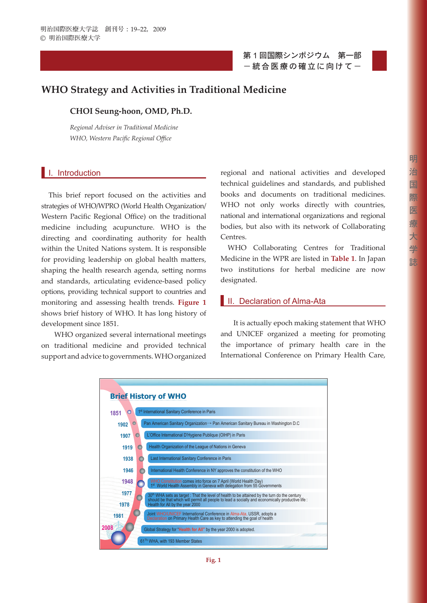第 1 回国際シンポジウム 第一部 - 統合医療の確立に向けて-



# **WHO Strategy and Activities in Traditional Medicine**

## **CHOI Seung-hoon, OMD, Ph.D.**

*Regional Adviser in Traditional Medicine WHO, Western Pacific Regional Office* 

## **I.** I. Introduction

This brief report focused on the activities and strategies of WHO/WPRO (World Health Organization/ Western Pacific Regional Office) on the traditional medicine including acupuncture. WHO is the directing and coordinating authority for health within the United Nations system. It is responsible for providing leadership on global health matters, shaping the health research agenda, setting norms and standards, articulating evidence-based policy options, providing technical support to countries and monitoring and assessing health trends. **Figure 1** shows brief history of WHO. It has long history of development since 1851.

WHO organized several international meetings on traditional medicine and provided technical support and advice to governments. WHO organized regional and national activities and developed technical guidelines and standards, and published books and documents on traditional medicines. WHO not only works directly with countries, national and international organizations and regional bodies, but also with its network of Collaborating Centres.

WHO Collaborating Centres for Traditional Medicine in the WPR are listed in **Table 1**. In Japan two institutions for herbal medicine are now designated.

## **II.** Declaration of Alma-Ata

It is actually epoch making statement that WHO and UNICEF organized a meeting for promoting the importance of primary health care in the International Conference on Primary Health Care,

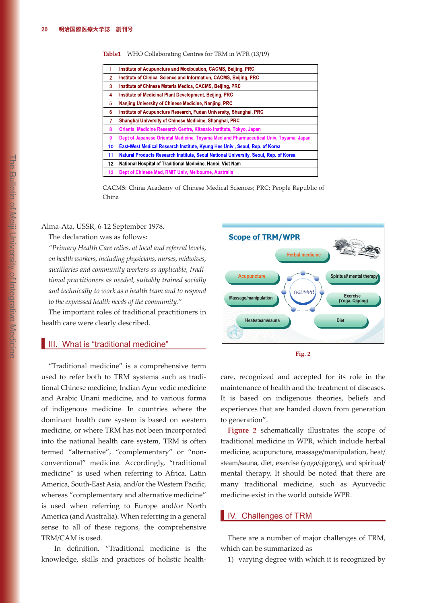#### **Table1** WHO Collaborating Centres for TRM in WPR (13/19)

|    | Institute of Acupuncture and Moxibustion, CACMS, Beijing, PRC                         |  |  |
|----|---------------------------------------------------------------------------------------|--|--|
| 2  | Institute of Clinical Science and Information, CACMS, Beijing, PRC                    |  |  |
| 3  | Institute of Chinese Materia Medica, CACMS, Beijing, PRC                              |  |  |
| 4  | Institute of Medicinal Plant Development, Beijing, PRC                                |  |  |
| 5  | Nanjing University of Chinese Medicine, Nanjing, PRC                                  |  |  |
| 6  | Institute of Acupuncture Research, Fudan University, Shanghai, PRC                    |  |  |
| 7  | Shanghai University of Chinese Medicine, Shanghai, PRC                                |  |  |
| 8  | Oriental Medicine Research Centre, Kitasato Institute, Tokyo, Japan                   |  |  |
| 9  | Dept of Japanese Oriental Medicine, Toyama Med and Pharmaceutical Univ, Toyama, Japan |  |  |
| 10 | East-West Medical Research Institute, Kyung Hee Univ., Seoul, Rep. of Korea           |  |  |
| 11 | Natural Products Research Institute, Seoul National University, Seoul, Rep. of Korea  |  |  |
| 12 | National Hospital of Traditional Medicine, Hanoi, Viet Nam                            |  |  |
| 13 | Dept of Chinese Med, RMIT Univ, Melbourne, Australia                                  |  |  |

CACMS: China Academy of Chinese Medical Sciences; PRC: People Republic of China

#### Alma-Ata, USSR, 6-12 September 1978.

#### The declaration was as follows:

*"Primary Health Care relies, at local and referral levels, on health workers, including physicians, nurses, midwives, auxiliaries and community workers as applicable, traditional practitioners as needed, suitably trained socially and technically to work as a health team and to respond to the expressed health needs of the community."*

The important roles of traditional practitioners in health care were clearly described.

### **III.** What is "traditional medicine"

"Traditional medicine" is a comprehensive term used to refer both to TRM systems such as traditional Chinese medicine, Indian Ayur vedic medicine and Arabic Unani medicine, and to various forma of indigenous medicine. In countries where the dominant health care system is based on western medicine, or where TRM has not been incorporated into the national health care system, TRM is often termed "alternative", "complementary" or "nonconventional" medicine. Accordingly, "traditional medicine" is used when referring to Africa, Latin America, South-East Asia, and/or the Western Paci fi c, whereas "complementary and alternative medicine" is used when referring to Europe and/or North America (and Australia). When referring in a general sense to all of these regions, the comprehensive TRM/CAM is used.

In definition, "Traditional medicine is the knowledge, skills and practices of holistic health-





care, recognized and accepted for its role in the maintenance of health and the treatment of diseases. It is based on indigenous theories, beliefs and experiences that are handed down from generation to generation".

**Figure 2** schematically illustrates the scope of traditional medicine in WPR, which include herbal medicine, acupuncture, massage/manipulation, heat/ steam/sauna, diet, exercise (yoga/qigong), and spiritual/ mental therapy. It should be noted that there are many traditional medicine, such as Ayurvedic medicine exist in the world outside WPR.

### **IV.** Challenges of TRM

There are a number of major challenges of TRM, which can be summarized as

1) varying degree with which it is recognized by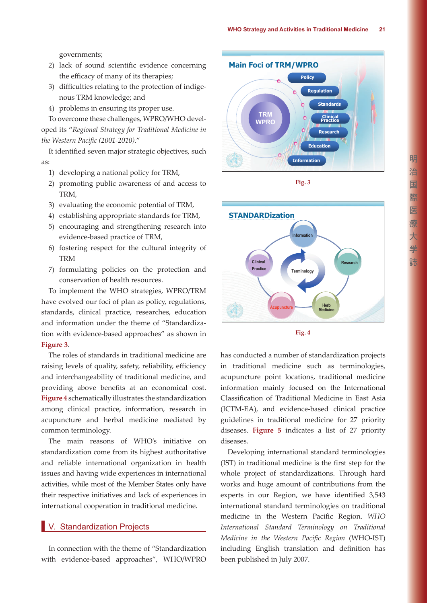governments;

- 2) lack of sound scientific evidence concerning the efficacy of many of its therapies;
- 3) difficulties relating to the protection of indigenous TRM knowledge; and
- 4) problems in ensuring its proper use.

To overcome these challenges, WPRO/WHO developed its "*Regional Strategy for Traditional Medicine in*  the Western Pacific (2001-2010)."

It identified seven major strategic objectives, such as:

- 1) developing a national policy for TRM,
- 2) promoting public awareness of and access to TRM,
- 3) evaluating the economic potential of TRM,
- 4) establishing appropriate standards for TRM,
- 5) encouraging and strengthening research into evidence-based practice of TRM,
- 6) fostering respect for the cultural integrity of TRM
- 7) formulating policies on the protection and conservation of health resources.

To implement the WHO strategies, WPRO/TRM have evolved our foci of plan as policy, regulations, standards, clinical practice, researches, education and information under the theme of "Standardization with evidence-based approaches" as shown in **Figure 3**.

The roles of standards in traditional medicine are raising levels of quality, safety, reliability, efficiency and interchangeability of traditional medicine, and providing above benefits at an economical cost. **Figure 4** schematically illustrates the standardization among clinical practice, information, research in acupuncture and herbal medicine mediated by common terminology.

The main reasons of WHO's initiative on standardization come from its highest authoritative and reliable international organization in health issues and having wide experiences in international activities, while most of the Member States only have their respective initiatives and lack of experiences in international cooperation in traditional medicine.

### **V.** Standardization Projects

In connection with the theme of "Standardization with evidence-based approaches", WHO/WPRO







**Fig. 4**

has conducted a number of standardization projects in traditional medicine such as terminologies, acupuncture point locations, traditional medicine information mainly focused on the International Classification of Traditional Medicine in East Asia (ICTM-EA), and evidence-based clinical practice guidelines in traditional medicine for 27 priority diseases. **Figure 5** indicates a list of 27 priority diseases.

Developing international standard terminologies (IST) in traditional medicine is the first step for the whole project of standardizations. Through hard works and huge amount of contributions from the experts in our Region, we have identified 3,543 international standard terminologies on traditional medicine in the Western Pacific Region. *WHO International Standard Terminology on Traditional Medicine in the Western Pacific Region* (WHO-IST) including English translation and definition has been published in July 2007.